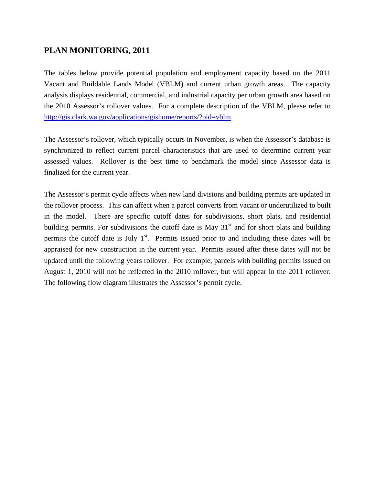## **PLAN MONITORING, 2011**

The tables below provide potential population and employment capacity based on the 2011 Vacant and Buildable Lands Model (VBLM) and current urban growth areas. The capacity analysis displays residential, commercial, and industrial capacity per urban growth area based on the 2010 Assessor's rollover values. For a complete description of the VBLM, please refer to <http://gis.clark.wa.gov/applications/gishome/reports/?pid=vblm>

The Assessor's rollover, which typically occurs in November, is when the Assessor's database is synchronized to reflect current parcel characteristics that are used to determine current year assessed values. Rollover is the best time to benchmark the model since Assessor data is finalized for the current year.

The Assessor's permit cycle affects when new land divisions and building permits are updated in the rollover process. This can affect when a parcel converts from vacant or underutilized to built in the model. There are specific cutoff dates for subdivisions, short plats, and residential building permits. For subdivisions the cutoff date is May  $31<sup>st</sup>$  and for short plats and building permits the cutoff date is July  $1<sup>st</sup>$ . Permits issued prior to and including these dates will be appraised for new construction in the current year. Permits issued after these dates will not be updated until the following years rollover. For example, parcels with building permits issued on August 1, 2010 will not be reflected in the 2010 rollover, but will appear in the 2011 rollover. The following flow diagram illustrates the Assessor's permit cycle.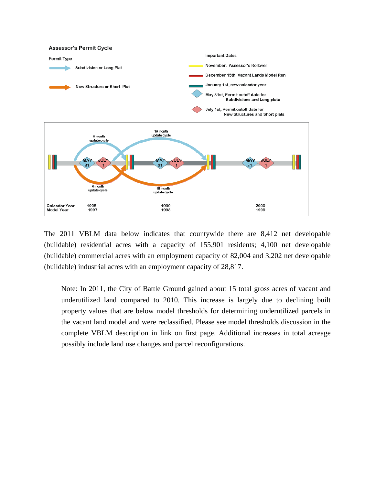

The 2011 VBLM data below indicates that countywide there are 8,412 net developable (buildable) residential acres with a capacity of 155,901 residents; 4,100 net developable (buildable) commercial acres with an employment capacity of 82,004 and 3,202 net developable (buildable) industrial acres with an employment capacity of 28,817.

Note: In 2011, the City of Battle Ground gained about 15 total gross acres of vacant and underutilized land compared to 2010. This increase is largely due to declining built property values that are below model thresholds for determining underutilized parcels in the vacant land model and were reclassified. Please see model thresholds discussion in the complete VBLM description in link on first page. Additional increases in total acreage possibly include land use changes and parcel reconfigurations.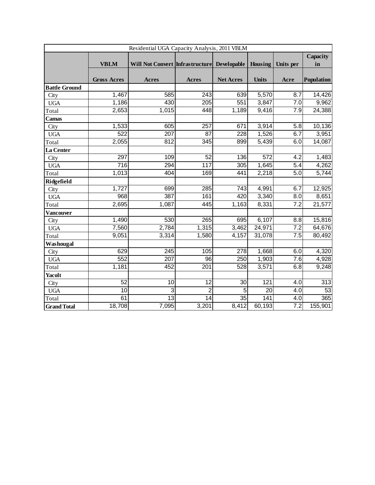| Residential UGA Capacity Analysis, 2011 VBLM |                    |                                             |                 |                  |              |                  |            |  |
|----------------------------------------------|--------------------|---------------------------------------------|-----------------|------------------|--------------|------------------|------------|--|
|                                              |                    |                                             |                 |                  |              |                  | Capacity   |  |
|                                              | <b>VBLM</b>        | Will Not Convert Infrastructure Developable |                 |                  | Housing      | Units per        | in         |  |
|                                              |                    |                                             |                 |                  |              |                  |            |  |
|                                              | <b>Gross Acres</b> | <b>Acres</b>                                | <b>Acres</b>    | <b>Net Acres</b> | <b>Units</b> | Acre             | Population |  |
| <b>Battle Ground</b>                         |                    |                                             |                 |                  |              |                  |            |  |
| City                                         | 1,467              | 585                                         | 243             | 639              | 5,570        | 8.7              | 14,426     |  |
| <b>UGA</b>                                   | 1,186              | 430                                         | 205             | 551              | 3,847        | 7.0              | 9,962      |  |
| Total                                        | 2,653              | 1,015                                       | 448             | 1,189            | 9,416        | 7.9              | 24,388     |  |
| Camas                                        |                    |                                             |                 |                  |              |                  |            |  |
| City                                         | 1,533              | 605                                         | 257             | 671              | 3,914        | 5.8              | 10,136     |  |
| <b>UGA</b>                                   | $\overline{522}$   | 207                                         | $\overline{87}$ | 228              | 1,526        | 6.7              | 3,951      |  |
| Total                                        | 2,055              | $\overline{812}$                            | 345             | 899              | 5,439        | 6.0              | 14,087     |  |
| La Center                                    |                    |                                             |                 |                  |              |                  |            |  |
| City                                         | 297                | 109                                         | 52              | 136              | 572          | 4.2              | 1,483      |  |
| <b>UGA</b>                                   | 716                | 294                                         | 117             | 305              | 1,645        | $\overline{5.4}$ | 4,262      |  |
| Total                                        | 1,013              | 404                                         | 169             | 441              | 2,218        | 5.0              | 5,744      |  |
| Ridgefield                                   |                    |                                             |                 |                  |              |                  |            |  |
| City                                         | 1,727              | 699                                         | 285             | 743              | 4,991        | 6.7              | 12,925     |  |
| <b>UGA</b>                                   | $\overline{968}$   | 387                                         | 161             | 420              | 3,340        | $\overline{8.0}$ | 8,651      |  |
| Total                                        | 2,695              | 1,087                                       | 445             | 1,163            | 8,331        | $\overline{7.2}$ | 21,577     |  |
| Vancouver                                    |                    |                                             |                 |                  |              |                  |            |  |
| City                                         | 1,490              | 530                                         | 265             | 695              | 6,107        | $\overline{8.8}$ | 15,816     |  |
| <b>UGA</b>                                   | 7,560              | 2,784                                       | 1,315           | 3,462            | 24,971       | 7.2              | 64,676     |  |
| Total                                        | 9,051              | 3,314                                       | 1,580           | 4,157            | 31,078       | 7.5              | 80,492     |  |
| Washougal                                    |                    |                                             |                 |                  |              |                  |            |  |
| City                                         | 629                | 245                                         | 105             | 278              | 1,668        | 6.0              | 4,320      |  |
| <b>UGA</b>                                   | 552                | 207                                         | 96              | 250              | 1,903        | 7.6              | 4,928      |  |
| Total                                        | 1,181              | 452                                         | 201             | 528              | 3,571        | 6.8              | 9,248      |  |
| <b>Yacolt</b>                                |                    |                                             |                 |                  |              |                  |            |  |
| City                                         | $\overline{52}$    | 10                                          | $\overline{12}$ | $\overline{30}$  | 121          | 4.0              | 313        |  |
| <b>UGA</b>                                   | 10                 | $\overline{3}$                              | $\overline{2}$  | $\overline{5}$   | 20           | 4.0              | 53         |  |
| Total                                        | 61                 | $\overline{13}$                             | $\overline{14}$ | $\overline{35}$  | 141          | 4.0              | 365        |  |
| <b>Grand Total</b>                           | 18,708             | 7,095                                       | 3,201           | 8,412            | 60,193       | 7.2              | 155,901    |  |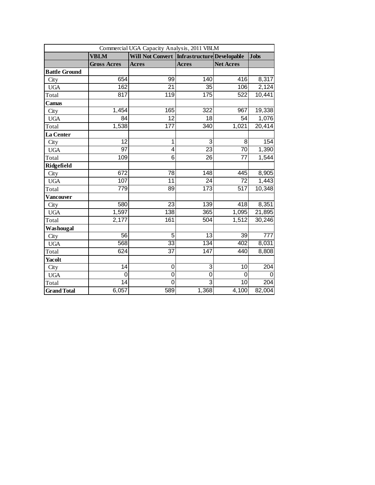| Commercial UGA Capacity Analysis, 2011 VBLM |                    |                                               |                  |                  |             |  |  |
|---------------------------------------------|--------------------|-----------------------------------------------|------------------|------------------|-------------|--|--|
|                                             | <b>VBLM</b>        | Will Not Convert   Infrastructure Developable |                  |                  | <b>Jobs</b> |  |  |
|                                             | <b>Gross Acres</b> | <b>Acres</b>                                  | <b>Acres</b>     | <b>Net Acres</b> |             |  |  |
| <b>Battle Ground</b>                        |                    |                                               |                  |                  |             |  |  |
| City                                        | 654                | 99                                            | 140              | 416              | 8,317       |  |  |
| <b>UGA</b>                                  | 162                | $\overline{21}$                               | $\overline{35}$  | 106              | 2,124       |  |  |
| Total                                       | 817                | 119                                           | 175              | 522              | 10,441      |  |  |
| Camas                                       |                    |                                               |                  |                  |             |  |  |
| City                                        | 1,454              | 165                                           | 322              | 967              | 19,338      |  |  |
| <b>UGA</b>                                  | 84                 | $\overline{12}$                               | 18               | 54               | 1,076       |  |  |
| Total                                       | 1,538              | 177                                           | $\overline{340}$ | 1,021            | 20,414      |  |  |
| La Center                                   |                    |                                               |                  |                  |             |  |  |
| City                                        | 12                 | 1                                             | 3                | 8                | 154         |  |  |
| <b>UGA</b>                                  | $\overline{97}$    | 4                                             | $\overline{23}$  | $\overline{70}$  | 1,390       |  |  |
| Total                                       | 109                | $\overline{6}$                                | $\overline{26}$  | 77               | 1,544       |  |  |
| Ridgefield                                  |                    |                                               |                  |                  |             |  |  |
| City                                        | 672                | 78                                            | 148              | 445              | 8,905       |  |  |
| <b>UGA</b>                                  | 107                | 11                                            | 24               | 72               | 1,443       |  |  |
| Total                                       | 779                | 89                                            | 173              | 517              | 10,348      |  |  |
| Vancouver                                   |                    |                                               |                  |                  |             |  |  |
| City                                        | 580                | $\overline{23}$                               | 139              | 418              | 8,351       |  |  |
| <b>UGA</b>                                  | 1,597              | 138                                           | 365              | 1,095            | 21,895      |  |  |
| Total                                       | 2,177              | 161                                           | 504              | 1,512            | 30,246      |  |  |
| Washougal                                   |                    |                                               |                  |                  |             |  |  |
| City                                        | 56                 | 5                                             | 13               | 39               | 777         |  |  |
| <b>UGA</b>                                  | 568                | 33                                            | 134              | 402              | 8,031       |  |  |
| Total                                       | 624                | 37                                            | 147              | 440              | 8,808       |  |  |
| Yacolt                                      |                    |                                               |                  |                  |             |  |  |
| City                                        | 14                 | 0                                             | 3                | 10               | 204         |  |  |
| <b>UGA</b>                                  | 0                  | $\overline{0}$                                | $\overline{0}$   | 0                | $\mathbf 0$ |  |  |
| Total                                       | 14                 | 0                                             | 3                | 10               | 204         |  |  |
| <b>Grand Total</b>                          | 6,057              | 589                                           | 1,368            | 4,100            | 82,004      |  |  |